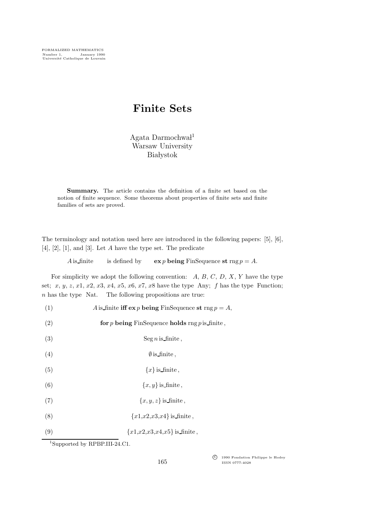## Finite Sets

Agata Darmochwa $l<sup>1</sup>$ Warsaw University **Białystok** 

Summary. The article contains the definition of a finite set based on the notion of finite sequence. Some theorems about properties of finite sets and finite families of sets are proved.

The terminology and notation used here are introduced in the following papers: [5], [6],  $[4]$ ,  $[2]$ ,  $[1]$ , and  $[3]$ . Let  $A$  have the type set. The predicate

A is finite is defined by  $\exp \mathbf{b} \cdot \mathbf{e}$  FinSequence st rng  $p = A$ .

For simplicity we adopt the following convention:  $A, B, C, D, X, Y$  have the type set; x, y, z, x1, x2, x3, x4, x5, x6, x7, x8 have the type Any; f has the type Function;  $n$  has the type Nat. The following propositions are true:

(1) A is finite iff  $\exp$  being FinSequence st rng  $p = A$ ,

(2) for p being FinSequence holds rng p is finite,

- (3) Seg *n* is finite,
- (4)  $\emptyset$  is finite,
- (5)  $\{x\}$  is finite.
- (6)  $\{x, y\}$  is finite,
- (7)  ${x, y, z}$  is finite,
- (8)  ${x1,x2,x3,x4}$  is finite,
- (9)  ${x1, x2, x3, x4, x5}$  is finite,

<sup>1</sup>Supported by RPBP.III-24.C1.

c<sup>f</sup> 1990 Fondation Philippe le Hodey ISSN 0777-4028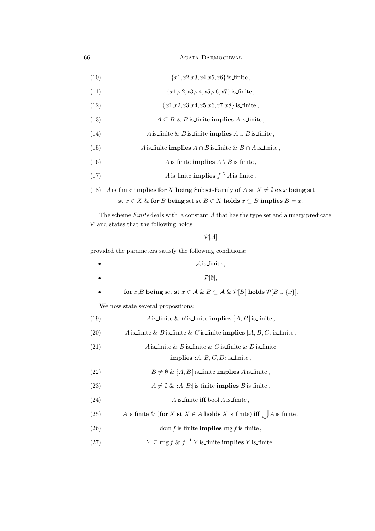166 AGATA DARMOCHWAL

(10) 
$$
\{x1, x2, x3, x4, x5, x6\} \text{ is finite,}
$$

(11)  ${x1,x2,x3,x4,x5,x6,x7}$  is finite,

(12)  ${x1,x2,x3,x4,x5,x6,x7,x8}$  is finite,

- (13)  $A \subseteq B \& B$  is finite implies A is finite,
- (14)  $A$  is finite & B is finite implies  $A \cup B$  is finite,
- (15) A is finite **implies**  $A \cap B$  is finite  $\& B \cap A$  is finite,
- (16) A is finite implies  $A \setminus B$  is finite,
- (17)  $A \text{ is finite implies } f^{\circ} A \text{ is finite},$

(18) A is finite implies for X being Subset-Family of A st  $X \neq \emptyset$  ex x being set st  $x \in X$  & for B being set st  $B \in X$  holds  $x \subseteq B$  implies  $B = x$ .

The scheme  $Finite$  deals with a constant  $A$  that has the type set and a unary predicate  $P$  and states that the following holds

 $P[A]$ 

provided the parameters satisfy the following conditions:

| $\mathcal{A}$ is finite,  |  |  |
|---------------------------|--|--|
| $\mathcal{P}[\emptyset],$ |  |  |

for x,B being set st  $x \in A \& B \subseteq A \& \mathcal{P}[B]$  holds  $\mathcal{P}[B \cup \{x\}]$ .

We now state several propositions:

| (19) | A is finite & B is finite <b>implies</b> $[A, B]$ is finite, |  |  |
|------|--------------------------------------------------------------|--|--|
|------|--------------------------------------------------------------|--|--|

- (20) A is finite & B is finite & C is finite implies  $[A, B, C]$  is finite,
- (21) A is finite & B is finite & C is finite & D is finite implies  $[A, B, C, D]$  is finite,
- (22)  $B \neq \emptyset \& [A, B]$  is finite implies A is finite,
- (23)  $A \neq \emptyset \& [A, B]$  is finite implies B is finite,
- (24)  $A$  is finite iff bool A is finite,
- (25) A is finite & (for X st  $X \in A$  holds X is finite) iff  $\left[ \int A \right]$  is finite,
- (26) dom f is finite implies rng f is finite,
- (27)  $Y \subseteq \text{rng } f \& f^{-1} Y \text{ is finite } \text{implies } Y \text{ is } \text{finite }.$